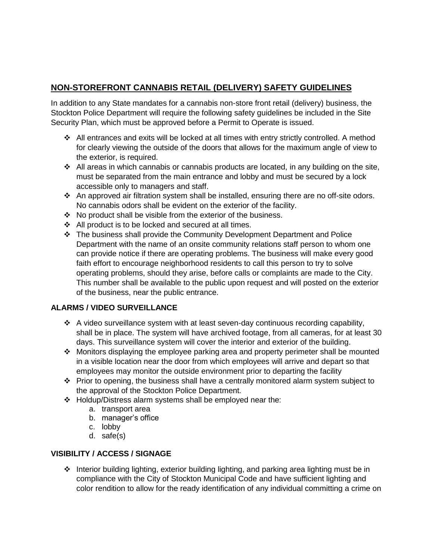# **NON-STOREFRONT CANNABIS RETAIL (DELIVERY) SAFETY GUIDELINES**

In addition to any State mandates for a cannabis non-store front retail (delivery) business, the Stockton Police Department will require the following safety guidelines be included in the Site Security Plan, which must be approved before a Permit to Operate is issued.

- ❖ All entrances and exits will be locked at all times with entry strictly controlled. A method for clearly viewing the outside of the doors that allows for the maximum angle of view to the exterior, is required.
- ❖ All areas in which cannabis or cannabis products are located, in any building on the site, must be separated from the main entrance and lobby and must be secured by a lock accessible only to managers and staff.
- ❖ An approved air filtration system shall be installed, ensuring there are no off-site odors. No cannabis odors shall be evident on the exterior of the facility.
- ❖ No product shall be visible from the exterior of the business.
- ❖ All product is to be locked and secured at all times.
- ❖ The business shall provide the Community Development Department and Police Department with the name of an onsite community relations staff person to whom one can provide notice if there are operating problems. The business will make every good faith effort to encourage neighborhood residents to call this person to try to solve operating problems, should they arise, before calls or complaints are made to the City. This number shall be available to the public upon request and will posted on the exterior of the business, near the public entrance.

## **ALARMS / VIDEO SURVEILLANCE**

- $\div$  A video surveillance system with at least seven-day continuous recording capability, shall be in place. The system will have archived footage, from all cameras, for at least 30 days. This surveillance system will cover the interior and exterior of the building.
- ❖ Monitors displaying the employee parking area and property perimeter shall be mounted in a visible location near the door from which employees will arrive and depart so that employees may monitor the outside environment prior to departing the facility
- ❖ Prior to opening, the business shall have a centrally monitored alarm system subject to the approval of the Stockton Police Department.
- ❖ Holdup/Distress alarm systems shall be employed near the:
	- a. transport area
	- b. manager's office
	- c. lobby
	- d. safe(s)

#### **VISIBILITY / ACCESS / SIGNAGE**

❖ Interior building lighting, exterior building lighting, and parking area lighting must be in compliance with the City of Stockton Municipal Code and have sufficient lighting and color rendition to allow for the ready identification of any individual committing a crime on